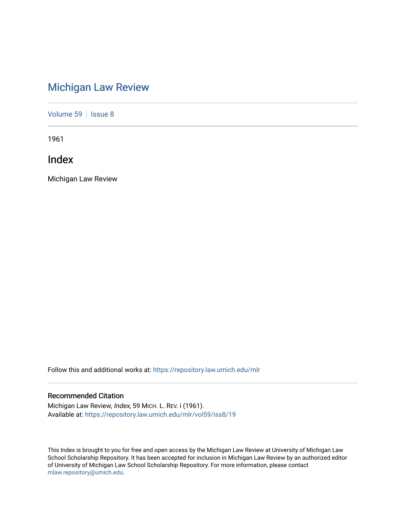# [Michigan Law Review](https://repository.law.umich.edu/mlr)

[Volume 59](https://repository.law.umich.edu/mlr/vol59) | [Issue 8](https://repository.law.umich.edu/mlr/vol59/iss8)

1961

Index

Michigan Law Review

Follow this and additional works at: [https://repository.law.umich.edu/mlr](https://repository.law.umich.edu/mlr?utm_source=repository.law.umich.edu%2Fmlr%2Fvol59%2Fiss8%2F19&utm_medium=PDF&utm_campaign=PDFCoverPages) 

# Recommended Citation

Michigan Law Review, Index, 59 MICH. L. REV. i (1961). Available at: [https://repository.law.umich.edu/mlr/vol59/iss8/19](https://repository.law.umich.edu/mlr/vol59/iss8/19?utm_source=repository.law.umich.edu%2Fmlr%2Fvol59%2Fiss8%2F19&utm_medium=PDF&utm_campaign=PDFCoverPages) 

This Index is brought to you for free and open access by the Michigan Law Review at University of Michigan Law School Scholarship Repository. It has been accepted for inclusion in Michigan Law Review by an authorized editor of University of Michigan Law School Scholarship Repository. For more information, please contact [mlaw.repository@umich.edu.](mailto:mlaw.repository@umich.edu)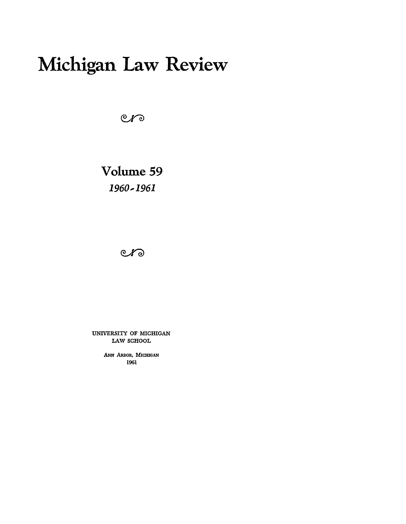# **Michigan Law Review**

 $er$ 

**Volume59**  *1960..-1961* 

 $C$ *K* $\odot$ 

UNIVERSITY OF MICHIGAN LAW SCHOOL

> ANN ARBOR, MICHIGAN 1961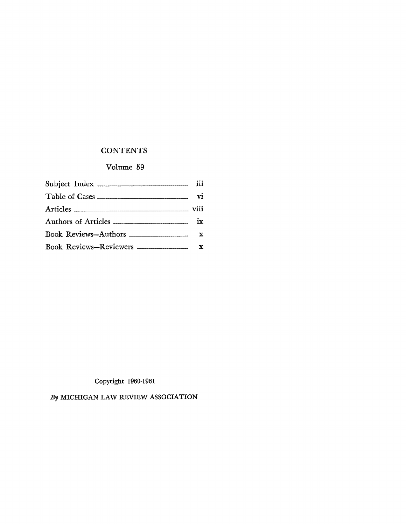# **CONTENTS**

# Volume 59

| Book Reviews-Reviewers ____________________ x |  |
|-----------------------------------------------|--|

Copyright 1960-1961

*By* MICHIGAN LAW REVIEW ASSOCIATION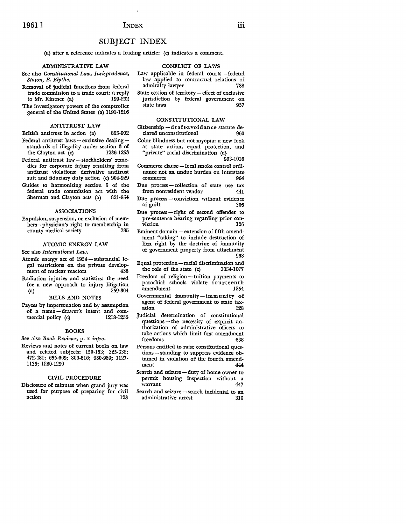# 1961 ] **INDEX** iii

## SUBJECT INDEX

(a) after a reference indicates a leading article; (c) indicates a comment.

#### ADMINISTRATIVE LAW

See also *Constitutional Law, Jurisprudence, Stason, E. Blythe.* 

- Removal of judicial functions from federal trade commission to a trade court: a reply to Mr. Kintner {a) 199-232
- The investigatory powers of the comptroller general of the United States (a) 1191-1216

#### ANTITRUST LAW

British antitrust in action (a) 855-902

- Federal antitrust laws  $-$  exclusive dealing  $$ standards of illegality under section 3 of the Clayton act  $(c)$
- Federal antitrust law stockholders' remedies for corporate injury resulting from antitrust violations: derivative antitrust suit and fiduciary duty action (c) 904-929
- Guides to harmonizing section 5 of the federal trade commission act with the Sherman and Clayton acts (a) 821-854

#### ASSOCIATIONS

Expulsion, suspension, or exclusion of members- physician's right to membership in county medical society

#### ATOMIC ENERGY LAW

See also *International Law.* 

- Atomic energy act of  $1954$ -substantial legal restrictions on the private develop-<br>ment of nuclear reactors 438 ment of nuclear reactors
- Radiation injuries and statistics: the need for a new approach to injury litigation (a) 259-304

#### BILIS AND NOTES

Payees by impersonation and by assumption of a name-drawer's intent and commercial policy (c) 1218-1236

#### BOOKS

See also *Book Reviews,* p. x *infra.* 

Reviews and notes of current books on law and related subjects: 150-153; 325-332; 472-481; 655-669; 806-816; 980-989; 1127- 1135; 1280-1290

#### CIVIL PROCEDURE

Disclosure of minutes when grand jury was used for purpose of preparing for civil action 123

- CONFLICT OF LAWS
- Law applicable in federal courts-federal law applied to contractual relations of admiralty lawyer
- State cession of territory effect of exclusive jurisdiction by federal government on state laws 957

#### CONSTITUTIONAL LAW

- Citizenship-draft-avoidance statute declared unconstitutional 960
- Color blindness but not myopia: a new look at state action, equal protection, and "private" racial discrimination (a}

993-1016

- Commerce clause local smoke control ordinance not an undue burden on interstate commerce 964
- Due process-collection of state use tax from nonresident vendor 441
- Due process conviction without evidence of guilt 306
- Due process-right of second offender to pre-sentence hearing regarding prior conviction
- Eminent domain extension of fifth amendment "taking" to include destruction of lien right by the doctrine of immunity of government property from attachment 968
- Equal protection-racial discrimination and the role of the state (c) 1054-1077
- Freedom of religion tuition payments to parochial schools violate fourteenth amendment
- Governmental immunity-immunity of agent of federal government to state taxation 128
- Judicial determination of constitutional questions - the necessity of explicit authorization of administrative officers to take actions which limit first amendment freedoms 638
- Persons entitled to raise constitutional questions - standing to suppress evidence obtained in violation of the fourth amendment 444
- Search and seizure duty of home owner to permit housing inspection without a warrant 447
- Search and seizure search incidental to an administrative arrest 310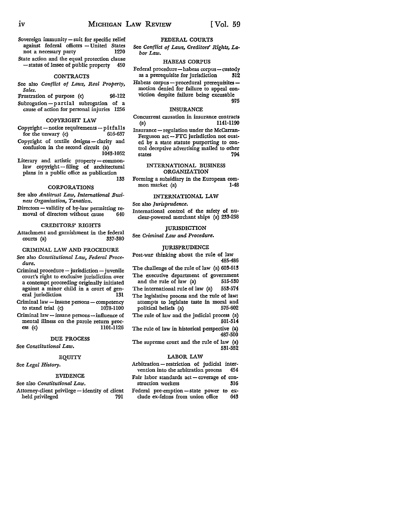975

- Sovereign immunity suit for specific relief against federal officers - United States not a necessary party 1270
- State action and the equal protection clause - status of lessee of public property 450

#### CONTRACTS

See also *Conflict of Laws, Real Property, Sales.* 

Frustration of purpose (c) 98-122 Subrogation-partial subrogation of a cause of action for personal injuries 1256

#### COPYRIGHT LAW

- Copyright-notice requirements-pitfalls for the unwary  $(c)$  616-637
- Copyright of textile designs clarity and confusion in the second circuit (a) 1043-1052
- Literary and artistic property-commonlaw copyright - filing of architectural plans in a public office as publication 133

#### CORPORATIONS

- See also *Antitrust Law, International Business Organization, Taxation.*
- Directors validity of by-law permitting removal of directors without cause 640

#### CREDITORS' RIGHTS

Attachment and garnishment in the federal<br>courts (a) 337-380 courts (a)

#### CRIMINAL LAW AND PROCEDURE

- See also *Constitutional Law, Federal Procedure.*
- $Criminal$  procedure  $-$  jurisdiction  $-$  juvenile court's right to exclusive jurisdiction over a contempt proceeding originally initiated against a minor child in a court of general jurisdiction 131
- Criminal law insane persons competency<br>to stand trial (c)  $1078-1100$ to stand trial  $(c)$
- Criminal law  $-$  insane persons  $-$  influence of mental illness on the parole return proc-<br>ess (c) 1101-1126 1101-1126

#### DUE PROCESS

See *Constitutional Law.* 

#### EQUITY

See *Legal History.* 

#### EVIDENCE

See also *Constitutional Law.* 

Attorney-client privilege - identity of client held privileged 791

#### FEDERAL COURTS

See *Conflict of Laws, Creditors' Rights, Labor Law.* 

#### HABEAS CORPUS

Federal procedure—habeas corpus—custody<br>as a prerequisite for jurisdiction 312 as a prerequisite for jurisdiction **312** 

Habeas corpus - procedural prerequisites motion denied for failure to appeal conviction despite failure being excusable

## INSURANCE

- Concurrent causation in insurance contracts (a) 1141-1190
- Insurance regulation under the McCarran-Ferguson act-FTC jurisdiction not ousted by a state statute purporting to control deceptive advertising mailed to other states 794

#### INTERNATIONAL BUSINESS ORGANIZATION

Forming a subsidiary in the European com-<br>mon market (a) 1-48 mon market (a)

#### INTERNATIONAL LAW

See also *Jurisprudence.* 

International control of the safety of nuclear-powered merchant ships (a) 233·258

#### JURISDICTION

See *Criminal Law and Procedure.* 

#### JURISPRUDENCE

Post-war thinking about the rule of law 485-486

The challenge of the rule of law (a) 603-613 The executive department of government and the rule of law (a) 515-530 The international rule of law (a) 553-574 The legislative process and the rule of law: attempts to legislate taste in moral and political beliefs (a) The rule of law and the judicial process (a) 501-514

The rule of law in historical perspective (a) 487-500

The supreme court and the rule of law (a) 531-552

#### LABOR LAW

Arbitration - restriction of judicial intervention into the arbitration process 454 Fair labor standards  $act$  - coverage of construction workers 316 Federal pre-emption - state power to ex-<br>clude ex-felons from union office 643 clude ex-felons from union office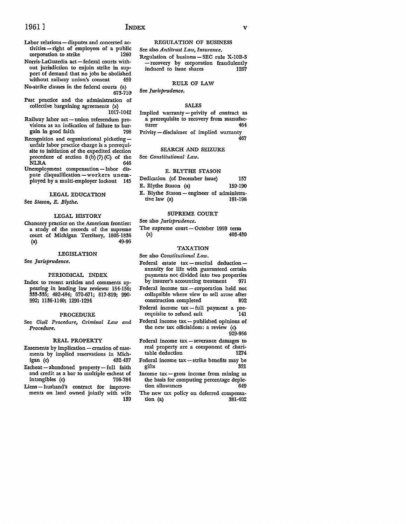- Labor relations disputes and concerted activities – right of employees of a public<br>corporation to strike 1260 corporation to strike
- Norris-LaGuardia act-federal courts without jurisdiction to enjoin strike in support of demand that no jobs be abolished without railway union's consent 459
- No-strike clauses in the federal courts (a} 673-710
- Past practice and the administration of collective bargaining agreements (a) 1017-1042
- Railway labor act union referendum provisions as an indication of failure to bargain in good faith 798
- Recognition and organizational picketingunfair labor practice charge is a prerequisite to initiation of the expedited election procedure of section  $8(b)(7)(C)$  of the<br>NLRA  $\overline{\text{NLRA}}$
- Unemployment compensation-labor dispute disqualification-workers unemployed by a multi-employer lockout 145

LEGAL EDUCATION

See *Stason, E. Blythe.* 

#### LEGAL HISTORY

Chancery practice on the American frontier: a study of the records of the supreme court of Michigan Territory, 1805-1836 {a) 49-96

#### LEGISLATION

See *Jurisprudence.* 

#### PERIODICAL INDEX

Index to recent articles and comments ap• pearing in leading law reviews: 154-156; 333-335; 482-484; 670-671; 817-819; 990- 992; 1136-1140; 1291-1294

#### PROCEDURE

See *Civil Procedure, Criminal Law and Procedure.* 

#### REAL PROPERTY

- Easements by implication creation of easements by implied reservations in Mich-<br>igan (c) 432-437 igan (c)
- Escheat-abandoned property-full faith and credit as a bar to multiple escheat of<br>intangibles (c) 756-784 intangibles (c)
- Liens husband's contract for improvements on land owned jointly with wife 139

#### REGULATION OF BUSINESS

See also *Antitrust Law, Insurance.*  Regulation of business - SEC rule X-10B-5 - recovery by corporation fraudulently induced to issue shares 1267

#### RULE OF LAW

See *Jurisprudence.* 

#### SALES

Implied warranty- privity of contract as a prerequisite to recovery from manufacturer 464 Privity - disclaimer of implied warranty 467

#### SEARCH AND SEIZURE

See *Constitutional· Law.* 

#### E. BLYTHE STASON

Dedication (of December issue) E. Blythe Stason (a) 157 159-190 E. Blythe Stason - engineer of administrative law (a) 191-198

#### SUPREME COURT

See also *Jurisprudence.* 

The supreme court - October 1959 term (a)  $403-4$ (a) 403-430

#### TAXATION

See also *Constitutional Law.* 

- Federal estate  $tax -marital$  deduction annuity for life with guaranteed certain payments not divided into two properties by insurer's accounting treatment 971
- Federal income tax corporation held not collapsible where view to sell arose after construction completed 802
- Federal income  $tax$  full payment a prerequisite to refund suit 141
- Federal income tax-published opinions of the new tax officialdom: a review (c} 929-956
- Federal income  $tax$  severance damages to real property are a component of charitable deduction 1274
- Federal income tax strike benefits may be gifts 321
- Income  $tax gross$  income from mining as the basis for computing percentage depletion allowances 649
- The new tax policy on deferred compensa-<br>tion (a) 881-402 tion  $(a)$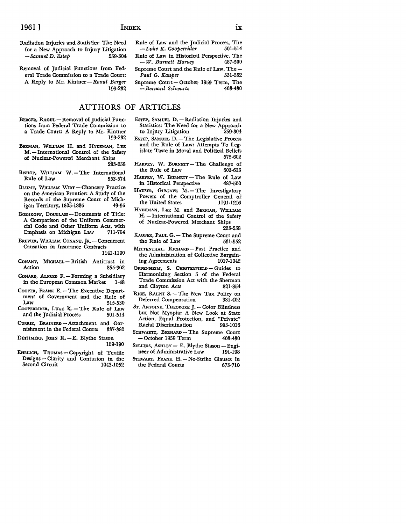Radiation Injuries and Statistics: The Need for a New Approach to Injury Litigation *-Samuel* D. *Estep* 259-304

Removal of Judicial Functions from Federal Trade Commission to a Trade Court: A Reply to Mr. Kintner - *Raoul Berger* 199-232

## AUTHORS OF ARTICLES

- BERGER, RAouL-Removal of Judicial Functions from Federal Trade Commission to a Trade Court: A Reply to Mr. Kintner 199-232
- BERMAN, WILLIAM H. and HYDEMAN, LEE M. - International Control of the Safety of Nuclear-Powered Merchant Ships 233-258
- BISHOP, WILLIAM W. The International<br>Rule of Law 553-574 Rule of Law
- BLUME, WILLIAM WIRT-Chancery Practice on the American Frontier: A Study of the Records of the Supreme Court of Michigan Territory, 1805-1836 49-96
- BOSHKOFF, DOUGLASS Documents of Title: A Comparison of the Uniform Commercial Code and Other Uniform Acts, with Emphasis on Michigan Law 711-754
- BREWER, WILLIAM CONANT, JR. Concurrent Causation in Insurance Contracts 1141-1190
- CONANT, MICHAEL- British Antitrust in Action 855-902
- CONARD, ALFRED F. Forming a Subsidiary in the European Common Market 1-48
- COOPER, FRANK E. The Executive Department of Government and the Rule of 515-530
- COOPERRIDER, LUKE K. The Rule of Law and the Judicial Process 501-514
- CURRIE, BRAINERD Attachment and Garnishment in the Federal Courts 337-380
- DETHMERS, JOHN R.-E. Blythe Stason 159-190
- EHRLICH, THOMAS Copyright of Textile Designs - Clarity and Confusion in the Second Circuit 1043-1052

ESTEP, SAMUEL D. - Radiation Injuries and

Rule of Law and the Judicial Process, The  $-Luke K$ . Cooperrider 501-514

Rule of Law in Historical Perspective, The - *W. Burnett Harvey* 487-500 Supreme Court and the Rule of Law, The -<br>Paul G. Kauber 531-552

Supreme Court- October 1959 Term, The - *Bernard Schwartz* 403-430

*-Luke K. Cooperrider* 501-514

 $Paul G. Kauper$ 

- Statistics: The Need for a New Approach<br>to Injury Litigation 259-304 to Injury Litigation ESTEP, SAMUEL D.-The Legislative Process
- and the Rule of Law: Attempts To Legislate Taste in Moral and Political Beliefs 575-602
- HARVEY, W. BURNETT The Challenge of the Rule of Law  $603-613$ the Rule of Law
- HARVEY, W. BURNETT-The Rule of Law in Historical Perspective 487-500
- HAUSER, GUSTAVE M. The Investigatory Powers of the Comptroller General of the United States 1191-1216
- HYDEMAN, LEE M. and BERMAN, WILLIAM H. - International Control of the Safety of Nuclear-Powered Merchant Ships 233-258
- KAUPER, PAUL G. The Supreme Court and<br>the Rule of Law 531-552 the Rule of Law
- MITTENTHAL, RICHARD-Past Practice and the Administration of Collective Bargain-<br>1017-1042 1017-1042 ing Agreements
- OPPENHEIM, S. CHESTERFIELD Guides to Harmonizing Section 5 of the Federal Trade Commission Act with the Sherman and Clayton Acts 821-854
- RICE, RALPH S. The New Tax Policy on Deferred Compensation 381-402
- ST. ANTOINE, THEODORE J. Color Blindness but Not Myopia: A New Look at State Action, Equal Protection, and "Private" Racial Discrimination 993-1016
- SCHWARTZ, BERNARD-The Supreme Court - October 1959 Term 403-430
- SELLERS, ASHLEY E. Blythe Stason Engineer of Administrative Law 191-198
- STEWART, FRANK H. No-Strike Clauses in the Federal Courts 673-710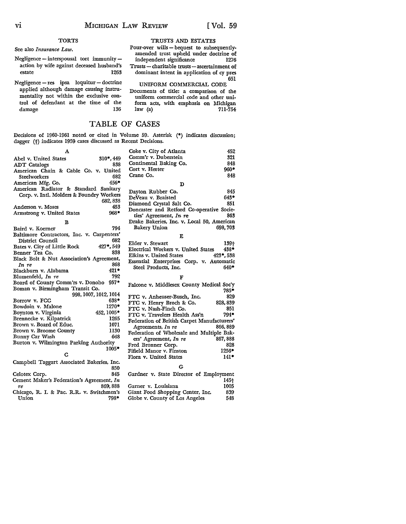#### **TORTS**

See also *Insurance Law.* 

- Negligence interspousal tort immunityaction by wife against deceased husband's estate 1263
- Negligence res ipsa loquitur doctrine applied although damage causing instru• mentality not within the exclusive control of defendant at the time of the damage

#### TRUSTS AND ESTATES

Pour-over wills-bequest to subsequentlyamended trust upheld under doctrine of independent significance 1276 Trusts - charitable trusts - ascertainment of dominant intent in application of cy pres 651

UNIFORM COMMERCIAL CODE Documents of title: a comparison of the

uniform commercial code and other uniform acts, with emphasis on Michigan law  $(a)$ 

# TABLE OF CASES

Decisions of 1960-1961 noted or cited in Volume 59. Asterisk (•) indicates discussion; dagger (†) indicates 1959 cases discussed as Recent Decisions.

| A                                          | 452<br>Coke v. City of Atlanta                           |
|--------------------------------------------|----------------------------------------------------------|
| $310^*$ , 449<br>Abel v. United States     | Comm'r v. Duberstein<br>321                              |
| 838<br><b>ADT</b> Catalogs                 | 848<br>Continental Baking Co.                            |
| American Chain & Cable Co. v. United       | Cort v. Herter<br>$960*$                                 |
| 682<br>Steelworkers                        | Crane Co.<br>848                                         |
| $456*$<br>American Mfg. Co.                | D                                                        |
| American Radiator & Standard Sanitary      |                                                          |
| Corp. v. Intl. Molders & Foundry Workers   | 845<br>Dayton Rubber Co.                                 |
| 682, 838                                   | $643*$<br>DeVeau v. Braisted                             |
| 453<br>Anderson v. Moses                   | 851<br>Diamond Crystal Salt Co.                          |
| 968*<br>Armstrong v. United States         | Doncaster and Retford Co-operative Socie-                |
|                                            | 863<br>ties' Agreement, In re                            |
| в                                          | Drake Bakeries, Inc. v. Local 50, American               |
| 794<br>Baird v. Koerner                    | 698,703<br>Bakery Union                                  |
| Baltimore Contractors, Inc. v. Carpenters' | E                                                        |
| 682<br>District Council                    | Elder v. Stewart<br>139+                                 |
| 427*,549<br>Bates v. City of Little Rock   | 438*<br>Electrical Workers v. United States              |
| 838<br>Benner Tea Co.                      | Elkins v. United States<br>$423$ *, 538                  |
| Black Bolt & Nut Association's Agreement,  | Essential Enterprises Corp. v. Automatic                 |
| 868<br>In re                               | $640*$<br>Steel Products, Inc.                           |
| $421*$<br>Blackburn v. Alabama             |                                                          |
|                                            |                                                          |
| 792<br>Blumenfeld, In re                   |                                                          |
| Board of County Comm'rs v. Donoho 957*     |                                                          |
| Boman v. Birmingham Transit Co.            | Falcone v. Middlesex County Medical Soc'y<br>785*        |
| 998, 1007, 1012, 1014                      | 829<br>FTC v. Anheuser-Busch, Inc.                       |
| Borrow v. FCC<br>638*                      | 828, 839                                                 |
| 1270*<br>Bowdoin v. Malone                 | FTC v. Henry Broch & Co.<br>851<br>FTC v. Nash-Finch Co. |
| Boynton v. Virginia<br>452, 1005*          | $794*$<br>FTC v. Travelers Health Ass'n                  |
| 1265<br>Brennecke v. Kilpatrick            | Federation of British Carpet Manufacturers'              |
| Brown v. Board of Educ.<br>1071            | 866, 889<br>Agreements, In re                            |
| 1130<br>Brown v. Broome County             |                                                          |
| 648<br>Bunny Car Wash                      | Federation of Wholesale and Multiple Bak-<br>867,888     |
| Burton v. Wilmington Parking Authority     | ers' Agreement, In re<br>828<br>Fred Bronner Corp.       |
| $1005*$                                    | $1256*$<br>Fifield Manor v. Finston                      |
| С                                          | $141*$<br>Flora v. United States                         |
| Campbell Taggart Associated Bakeries, Inc. |                                                          |
| 850                                        | G                                                        |
| 845<br>Celotex Corp.                       | Gardner v. State Director of Employment                  |
| Cement Maker's Federation's Agreement, In  | $145 +$                                                  |
| 869, 888<br>тe                             | Garner v. Louisiana<br>1005                              |
| Chicago, R. I. & Pac. R.R. v. Switchmen's  | 839<br>Giant Food Shopping Center, Inc.                  |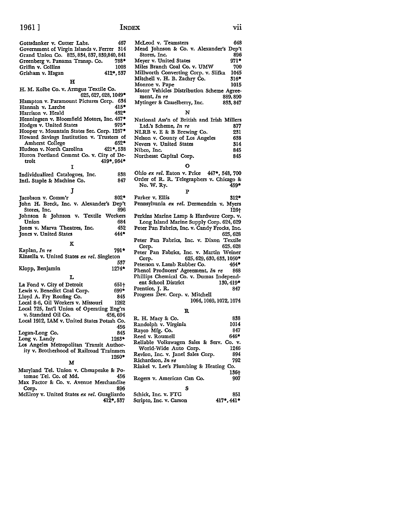#### 1961 ] **INDEX** vii

| 467<br>Gottsdanker v. Cutter Labs.           | McLeod v. Teamsters             |
|----------------------------------------------|---------------------------------|
| Government of Virgin Islands v. Ferrer 314   | Mead Johnson & Co.              |
| Grand Union Co. 825, 834, 837, 839, 840, 841 | Stores, Inc.                    |
| Greenberg v. Panama Transp. Co.<br>788*      | Meyer v. United States          |
| Griffin v. Collins<br>1008                   | Miles Branch Coal Co.           |
| 412*,537<br>Grisham v. Hagan                 | Millworth Converting            |
|                                              | Mitchell v. H. B. Zach          |
| н                                            | Monroe v. Pape                  |
| H. M. Kolbe Co. v. Armgus Textile Co.        | Motor Vehicles Distrib          |
| 625, 627, 628, 1049*                         | ment, In re                     |
| Hampton v. Paramount Pictures Corp. 634      | Mytinger & Casselberry          |
| Hannah v. Larche<br>415*                     |                                 |
| 432*<br>Harrison v. Heald                    | N                               |
| Henningsen v. Bloomfield Motors, Inc. 467*   | National Ass'n of Brit          |
| $975*$<br>Hodges v. United States            | Ltd.'s Scheme, In re            |
| Hooper v. Mountain States Sec. Corp. 1267*   | NLRB v. E & B Brew              |
| Howard Savings Institution v. Trustees of    | Nelson v. County of L           |
| Amherst College<br>652*                      | Nevers v. United State          |
| 421*,538<br>Hudson v. North Carolina         | Nibco, Inc.                     |
| Huron Portland Cement Co. v. City of De-     | Northeast Capital Cor           |
| 419*, 964*<br>troit                          |                                 |
| I                                            | О                               |
| 838<br>Individualized Catalogues, Inc.       | Ohio <i>ex rel</i> . Eaton v. 1 |
| 847<br>Intl. Staple & Machine Co.            | Order of R. R. Teleg:           |
|                                              | No. W. Ry.                      |
| J                                            | P                               |
| $802*$<br>Jacobson v. Comm'r                 | Parker v. Ellis                 |
| John H. Breck, Inc. v. Alexander's Dep't     | Pennsylvania <i>ex rel</i> . I  |
| Stores, Inc.<br>896                          |                                 |
| Johnson & Johnson v. Textile Workers         | Perkins Marine Lamp             |
| 684<br>Union                                 | Long Island Marine              |
| Jones v. Marva Theatres, Inc.<br>452         | Peter Pan Fabrics, Inc.         |
| Jones v. United States<br>444*               |                                 |
| ĸ                                            | Peter Pan Fabrics, In           |
|                                              | Corp.                           |
| Kaplan, In re<br>791*                        | Peter Pan Fabrics, In           |
| Kinsella v. United States ex rel. Singleton  | 62<br>Corp.                     |
| 537                                          | Peterson v. Lamb Rubl           |
| Klopp, Benjamin<br>$1274*$                   | Phenol Producers' Agr           |
| L                                            | Phillips Chemical Co.           |
| La Fond v. City of Detroit<br>$651+$         | ent School District             |
| 699*<br>Lewis v. Benedict Coal Corp.         | Prentice, J. R.                 |
| Lloyd A. Fry Roofing Co.<br>845              | Progress Dev. Corp. v.          |
| Local 8-6, Oil Workers v. Missouri<br>1262   |                                 |
| Local 725, Int'l Union of Operating Eng'rs   |                                 |
| v. Standard Oil Co.<br>456.694               | R                               |
| Local 1912, IAM v. United States Potash Co.  | R. H. Macy & Co.                |
| 456                                          | Randolph v. Virginia            |
|                                              | Ravro Mfo. Co.                  |

Logan-Long Co. 845 Long v. Landy 1263\* Los Angeles Metropolitan Transit Authority v. Brotherhood of Railroad Trainmen 1260•

#### **M**

Maryland Tel. Union v. Chesapeake &: Potomac Tel. Co. of Md. 456 Max Factor &: Co. v. Avenue Merchandise Corp. 896 McElroy v. United States *ex rel.* Guagliardo 412•,537

| ä,<br>I<br>٦ |  |  |
|--------------|--|--|
|              |  |  |

| 467         | McLeod v. Teamsters<br>648                       |  |
|-------------|--------------------------------------------------|--|
| 314         | Mead Johnson & Co. v. Alexander's Dep't          |  |
| 841         | Stores, Inc.<br>896                              |  |
| 88*         | Meyer v. United States<br>971*                   |  |
| 008         | Miles Branch Coal Co. v. UMW<br>700              |  |
| 537         | Millworth Converting Corp. v. Slifka<br>1045     |  |
|             | Mitchell v. H. B. Zachry Co.<br>316*             |  |
|             | Monroe v. Pape<br>1015                           |  |
|             | Motor Vehicles Distribution Scheme Agree-        |  |
| 49*         | ment, In re<br>889, 890                          |  |
| 634         | Mytinger & Casselberry, Inc.<br>833, 847         |  |
| 15*         |                                                  |  |
| 32*         | N                                                |  |
| 67*         | National Ass'n of British and Irish Millers      |  |
| 75*         | Ltd.'s Scheme, In re<br>877                      |  |
| 67*         | NLRB v. E & B Brewing Co.<br>231                 |  |
| of:         | Nelson v. County of Los Angeles<br>638           |  |
| 52*         | Nevers v. United States<br>314                   |  |
| 538         | Nibco, Inc.<br>845                               |  |
| De-         | 845<br>Northeast Capital Corp.                   |  |
| 64*         | о                                                |  |
|             |                                                  |  |
| 838         | Ohio ex rel. Eaton v. Price 447*, 548, 700       |  |
| 847         | Order of R. R. Telegraphers v. Chicago &         |  |
|             | No. W. Ry.<br>459*                               |  |
|             | P                                                |  |
| 02*         | Parker v. Ellis<br>312*                          |  |
| :p't<br>896 | Pennsylvania ex rel. Dermendzin v. Myers<br>126† |  |
| ers:        | Perkins Marine Lamp & Hardware Corp. v.          |  |
| 684         | Long Island Marine Supply Corp. 624, 629         |  |
| 452         | Peter Pan Fabrics, Inc. v. Candy Frocks, Inc.    |  |
| 44*         | 625, 628                                         |  |
|             | Peter Pan Fabrics, Inc. v. Dixon<br>Textile      |  |
|             | 625, 628<br>Corp.                                |  |
| 91*         | Peter Pan Fabrics, Inc. v. Martin Weiner         |  |
| n           | 625, 629, 630, 633, 1050*<br>Corp.               |  |
| 537         | Peterson v. Lamb Rubber Co.<br>$464*$            |  |
| 74*         | Phenol Producers' Agreement, In re<br>868        |  |
|             | Phillips Chemical Co. v. Dumas Independ-         |  |
| 51†         | ent School District<br>130, 419*                 |  |
| 99۰         | Prentice, J. R.<br>847                           |  |
| 845         | Progress Dev. Corp. v. Mitchell                  |  |
| 262         | 1064, 1069, 1072, 1074                           |  |
| z'rs        |                                                  |  |
| 694         | R                                                |  |
| Co.         | R. H. Macy & Co.<br>838                          |  |
| 456         | 1014<br>Randolph v. Virginia                     |  |
| 845         | Rayco Mfg. Co.<br>847                            |  |
| 33*         | 646*<br>Reed v. Roumell                          |  |
| or-         | Reliable Volkswagen Sales & Serv. Co. v.         |  |
| ıen         | World-Wide Auto Corp.<br>1246                    |  |
| 50*         | Revion, Inc. v. Janel Sales Corp.<br>894         |  |
|             | Richardson, In re<br>792                         |  |

# Rogers v. American Can Co.

| s                       |                   |
|-------------------------|-------------------|
| Schick, Inc. v. FTC     | 851               |
| Scripto, Inc. v. Carson | $417^*$ , $441^*$ |

Rinkel v. Lee's Plumbing &: Heating Co.

136†<br>907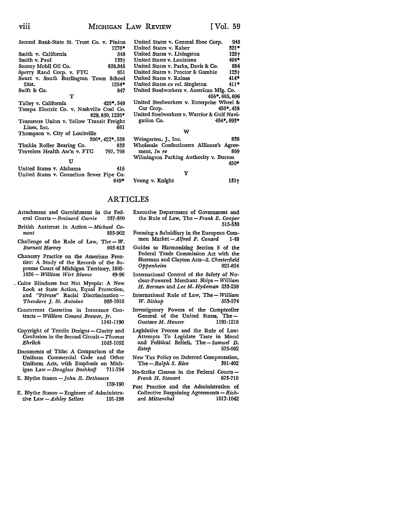| $\cdots$<br><b>V111</b>                   |           | MICHIGAN LAW REVIEW                       | [Vol. 59]      |
|-------------------------------------------|-----------|-------------------------------------------|----------------|
| Second Bank-State St. Trust Co. v. Pinion |           | United States v. General Shoe Corp.       | 948            |
|                                           | 1276*     | United States v. Kaiser                   | $321*$         |
| Smith v. California                       | 548       | United States v. Livingston               | $128 +$        |
| Smith v. Paul                             | $133+$    | United States v. Louisiana                | $404*$         |
| Socony Mobil Oil Co.                      | 838,845   | United States v. Parke, Davis & Co.       | 884            |
| Sperry Rand Corp. v. FTC                  | 851       | United States v. Proctor & Gamble         | $123+$         |
| Swart v. South Burlington Town            | School    | United States v. Raines                   | $414*$         |
| Dist.                                     | $1254*$   | United States ex rel. Singleton           | $411*$         |
| Swift & Co.                               | 847       | United Steelworkers v. American Mfg. Co.  |                |
|                                           |           |                                           | 456*, 685, 696 |
| Talley v. California                      | 426*, 549 | United Steelworkers v. Enterprise Wheel & |                |
| Tampa Electric Co. v. Nashville Coal Co.  |           | Car Corp.                                 | 456*, 458      |

829, 830, 1236• Teamsters Union v. Yellow Transit Freight Lines, Inc. Thompson v. City of Louisville 306•,422•,538 Timkin Roller Bearing Co. 833

|                                                                       | TT |  |      |
|-----------------------------------------------------------------------|----|--|------|
| United States v. Alabama<br>United States v. Cannelton Sewer Pipe Co. |    |  | 415. |

Travelers Health Ass'n v. FTC

Davis & Co. 884<br>r & Gamble 123+ or & Gamble United States v. Raines 414<sup>\*</sup> ingleton **4II** • American Mfg. Co. 456•,685,696 Enterprise Wheel & 456\*, 458 United Steelworkers v. Warrior & Gulf Navigation Co. 454. gation Co.

#### w

Weingarten, J., Inc. 838 Wholesale Confectioners Alliance's Agreement, *In re* 869 Wilmington Parking Authority v. Burton 450• y 649\* Young v. Knight 131+

#### ARTICLES

797,798

- Attachment and Garnishment in the Fed-<br>eral Courts Brainerd Currie 337-380 eral Courts - *Brainerd Currie*
- British Antitrust in Action *Michael Conant* 855-902
- Challenge of the Rule of Law, The  $-W$ . *Burnett Haroey* 603-613

Chancery Practice on the American Frontier: A Study of the Records of the Supreme Court of Michigan Territory, 1805- 1836 - *William Wirt Blume* 49-96

. Color Blindness but Not Myopia: A New Look at State Action, Equal Protection, and "Private" Racial Discrimination --*Theodore* J. *St. Antoine* 993-1016

Concurrent Causation in Insurance Contracts - *William Conant Brewer, Jr.*  1141-ll90

Copyright of Textile Designs - Clarity and Confusion in the Second Circuit-Thomas *Ehrlich* 1043-1052

Documents of Title: A Comparison of the Uniform Commercial Code and Other Uniform Acts, with Emphasis on Michigan *Law-Douglass Boshkoff* 711-754

- E. Blythe Stason *John R. Dethmers*  159-190
- E. Blythe Stason Engineer of Administrative Law Ashley Sellers 191-198 tive Law - Ashley Sellers
- Executive Department of Government and the Rule of Law, The *-Frank* E. *Cooper*  515-530
- Forming a Subsidiary in the European Common *Market-Alfred F. Conard* 1-48
- Guides to Harmonizing Section 5 of the Federal Trade Commission Act with the Sherman and Clayton *Acts-S. Chesterfield*  **Oppenheim**

International Control of the Safety of Nuclear-Powered Merchant Ships- *William H. Berman* and *Lee* M. *Hydeman* 233-258

- International Rule of Law, *The-William*   $W. Bishop$
- Investigatory Powers of the Comptroller General of the United States, The -<br>Gustave M. Hauser 1191-1216  $G$ ustave M. Hauser
- Legislative Process and the Rule of Law: Attempts To Legislate Taste in Moral and Political Beliefs, *The-Samuel D. Estep* 575-602
- New Tax Policy on Deferred Compensation,<br>The Ralph S. Rice 381-402  $The - Ralph S. Rice$
- No-Strike Clauses in the Federal Courts -<br>Frank H. Stewart 673-710  $Frank H. Stewart$
- Past Practice and the Administration of Collective Bargaining Agreements - Rich*ard Mittenthal* 1017-1042